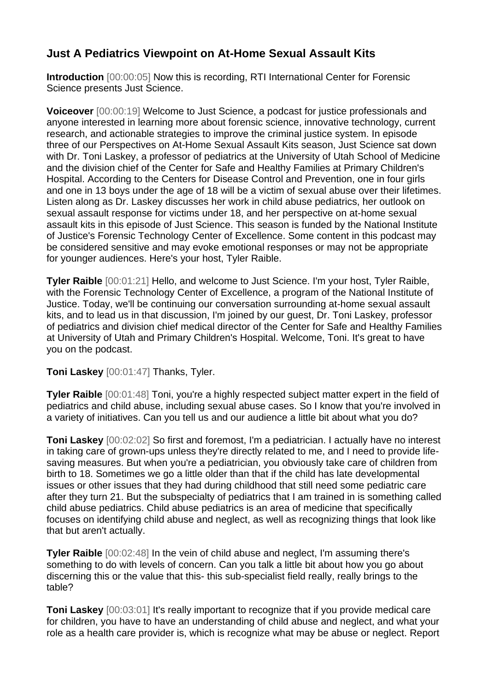## **Just A Pediatrics Viewpoint on At-Home Sexual Assault Kits**

**Introduction** [00:00:05] Now this is recording, RTI International Center for Forensic Science presents Just Science.

**Voiceover** [00:00:19] Welcome to Just Science, a podcast for justice professionals and anyone interested in learning more about forensic science, innovative technology, current research, and actionable strategies to improve the criminal justice system. In episode three of our Perspectives on At-Home Sexual Assault Kits season, Just Science sat down with Dr. Toni Laskey, a professor of pediatrics at the University of Utah School of Medicine and the division chief of the Center for Safe and Healthy Families at Primary Children's Hospital. According to the Centers for Disease Control and Prevention, one in four girls and one in 13 boys under the age of 18 will be a victim of sexual abuse over their lifetimes. Listen along as Dr. Laskey discusses her work in child abuse pediatrics, her outlook on sexual assault response for victims under 18, and her perspective on at-home sexual assault kits in this episode of Just Science. This season is funded by the National Institute of Justice's Forensic Technology Center of Excellence. Some content in this podcast may be considered sensitive and may evoke emotional responses or may not be appropriate for younger audiences. Here's your host, Tyler Raible.

**Tyler Raible** [00:01:21] Hello, and welcome to Just Science. I'm your host, Tyler Raible, with the Forensic Technology Center of Excellence, a program of the National Institute of Justice. Today, we'll be continuing our conversation surrounding at-home sexual assault kits, and to lead us in that discussion, I'm joined by our guest, Dr. Toni Laskey, professor of pediatrics and division chief medical director of the Center for Safe and Healthy Families at University of Utah and Primary Children's Hospital. Welcome, Toni. It's great to have you on the podcast.

**Toni Laskey** [00:01:47] Thanks, Tyler.

**Tyler Raible** [00:01:48] Toni, you're a highly respected subject matter expert in the field of pediatrics and child abuse, including sexual abuse cases. So I know that you're involved in a variety of initiatives. Can you tell us and our audience a little bit about what you do?

**Toni Laskey** [00:02:02] So first and foremost, I'm a pediatrician. I actually have no interest in taking care of grown-ups unless they're directly related to me, and I need to provide lifesaving measures. But when you're a pediatrician, you obviously take care of children from birth to 18. Sometimes we go a little older than that if the child has late developmental issues or other issues that they had during childhood that still need some pediatric care after they turn 21. But the subspecialty of pediatrics that I am trained in is something called child abuse pediatrics. Child abuse pediatrics is an area of medicine that specifically focuses on identifying child abuse and neglect, as well as recognizing things that look like that but aren't actually.

**Tyler Raible** [00:02:48] In the vein of child abuse and neglect, I'm assuming there's something to do with levels of concern. Can you talk a little bit about how you go about discerning this or the value that this- this sub-specialist field really, really brings to the table?

**Toni Laskey** [00:03:01] It's really important to recognize that if you provide medical care for children, you have to have an understanding of child abuse and neglect, and what your role as a health care provider is, which is recognize what may be abuse or neglect. Report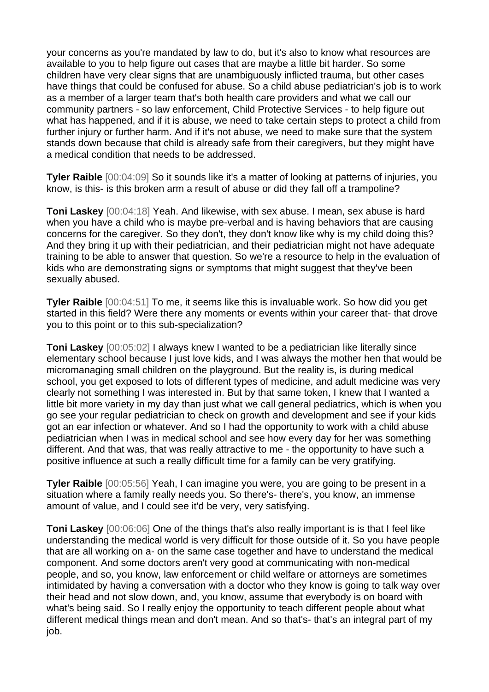your concerns as you're mandated by law to do, but it's also to know what resources are available to you to help figure out cases that are maybe a little bit harder. So some children have very clear signs that are unambiguously inflicted trauma, but other cases have things that could be confused for abuse. So a child abuse pediatrician's job is to work as a member of a larger team that's both health care providers and what we call our community partners - so law enforcement, Child Protective Services - to help figure out what has happened, and if it is abuse, we need to take certain steps to protect a child from further injury or further harm. And if it's not abuse, we need to make sure that the system stands down because that child is already safe from their caregivers, but they might have a medical condition that needs to be addressed.

**Tyler Raible** [00:04:09] So it sounds like it's a matter of looking at patterns of injuries, you know, is this- is this broken arm a result of abuse or did they fall off a trampoline?

**Toni Laskey** [00:04:18] Yeah. And likewise, with sex abuse. I mean, sex abuse is hard when you have a child who is maybe pre-verbal and is having behaviors that are causing concerns for the caregiver. So they don't, they don't know like why is my child doing this? And they bring it up with their pediatrician, and their pediatrician might not have adequate training to be able to answer that question. So we're a resource to help in the evaluation of kids who are demonstrating signs or symptoms that might suggest that they've been sexually abused.

**Tyler Raible** [00:04:51] To me, it seems like this is invaluable work. So how did you get started in this field? Were there any moments or events within your career that- that drove you to this point or to this sub-specialization?

**Toni Laskey** [00:05:02] I always knew I wanted to be a pediatrician like literally since elementary school because I just love kids, and I was always the mother hen that would be micromanaging small children on the playground. But the reality is, is during medical school, you get exposed to lots of different types of medicine, and adult medicine was very clearly not something I was interested in. But by that same token, I knew that I wanted a little bit more variety in my day than just what we call general pediatrics, which is when you go see your regular pediatrician to check on growth and development and see if your kids got an ear infection or whatever. And so I had the opportunity to work with a child abuse pediatrician when I was in medical school and see how every day for her was something different. And that was, that was really attractive to me - the opportunity to have such a positive influence at such a really difficult time for a family can be very gratifying.

**Tyler Raible** [00:05:56] Yeah, I can imagine you were, you are going to be present in a situation where a family really needs you. So there's- there's, you know, an immense amount of value, and I could see it'd be very, very satisfying.

**Toni Laskey** [00:06:06] One of the things that's also really important is is that I feel like understanding the medical world is very difficult for those outside of it. So you have people that are all working on a- on the same case together and have to understand the medical component. And some doctors aren't very good at communicating with non-medical people, and so, you know, law enforcement or child welfare or attorneys are sometimes intimidated by having a conversation with a doctor who they know is going to talk way over their head and not slow down, and, you know, assume that everybody is on board with what's being said. So I really enjoy the opportunity to teach different people about what different medical things mean and don't mean. And so that's- that's an integral part of my job.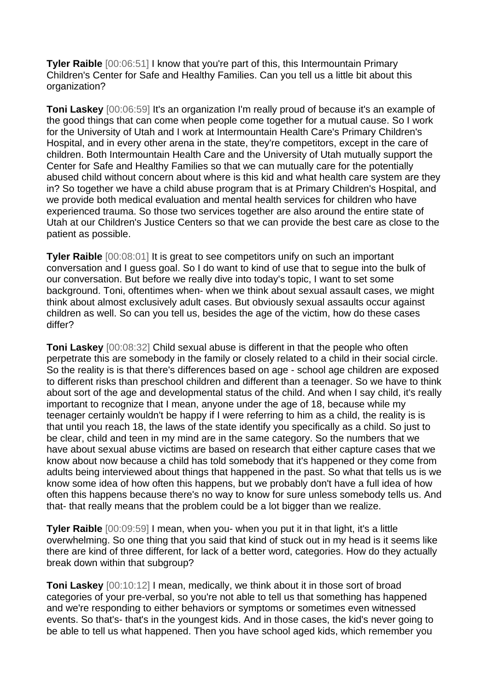**Tyler Raible**  $[00:06:51]$  I know that you're part of this, this Intermountain Primary Children's Center for Safe and Healthy Families. Can you tell us a little bit about this organization?

**Toni Laskey** [00:06:59] It's an organization I'm really proud of because it's an example of the good things that can come when people come together for a mutual cause. So I work for the University of Utah and I work at Intermountain Health Care's Primary Children's Hospital, and in every other arena in the state, they're competitors, except in the care of children. Both Intermountain Health Care and the University of Utah mutually support the Center for Safe and Healthy Families so that we can mutually care for the potentially abused child without concern about where is this kid and what health care system are they in? So together we have a child abuse program that is at Primary Children's Hospital, and we provide both medical evaluation and mental health services for children who have experienced trauma. So those two services together are also around the entire state of Utah at our Children's Justice Centers so that we can provide the best care as close to the patient as possible.

**Tyler Raible**  $[00:08:01]$  It is great to see competitors unify on such an important conversation and I guess goal. So I do want to kind of use that to segue into the bulk of our conversation. But before we really dive into today's topic, I want to set some background. Toni, oftentimes when- when we think about sexual assault cases, we might think about almost exclusively adult cases. But obviously sexual assaults occur against children as well. So can you tell us, besides the age of the victim, how do these cases differ?

**Toni Laskey** [00:08:32] Child sexual abuse is different in that the people who often perpetrate this are somebody in the family or closely related to a child in their social circle. So the reality is is that there's differences based on age - school age children are exposed to different risks than preschool children and different than a teenager. So we have to think about sort of the age and developmental status of the child. And when I say child, it's really important to recognize that I mean, anyone under the age of 18, because while my teenager certainly wouldn't be happy if I were referring to him as a child, the reality is is that until you reach 18, the laws of the state identify you specifically as a child. So just to be clear, child and teen in my mind are in the same category. So the numbers that we have about sexual abuse victims are based on research that either capture cases that we know about now because a child has told somebody that it's happened or they come from adults being interviewed about things that happened in the past. So what that tells us is we know some idea of how often this happens, but we probably don't have a full idea of how often this happens because there's no way to know for sure unless somebody tells us. And that- that really means that the problem could be a lot bigger than we realize.

**Tyler Raible** [00:09:59] I mean, when you- when you put it in that light, it's a little overwhelming. So one thing that you said that kind of stuck out in my head is it seems like there are kind of three different, for lack of a better word, categories. How do they actually break down within that subgroup?

**Toni Laskey** [00:10:12] I mean, medically, we think about it in those sort of broad categories of your pre-verbal, so you're not able to tell us that something has happened and we're responding to either behaviors or symptoms or sometimes even witnessed events. So that's- that's in the youngest kids. And in those cases, the kid's never going to be able to tell us what happened. Then you have school aged kids, which remember you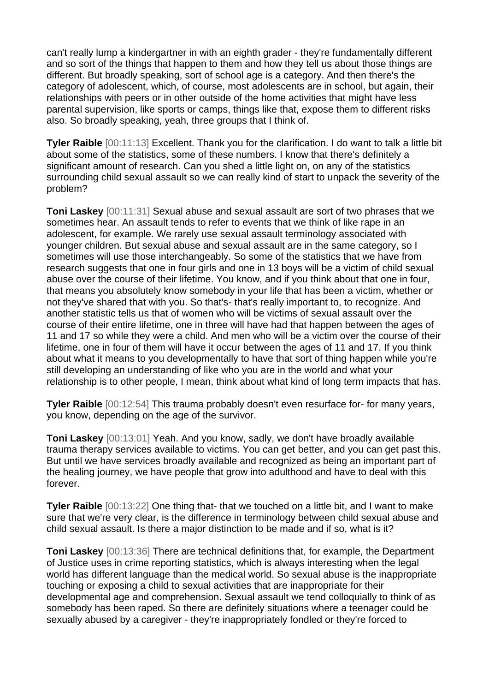can't really lump a kindergartner in with an eighth grader - they're fundamentally different and so sort of the things that happen to them and how they tell us about those things are different. But broadly speaking, sort of school age is a category. And then there's the category of adolescent, which, of course, most adolescents are in school, but again, their relationships with peers or in other outside of the home activities that might have less parental supervision, like sports or camps, things like that, expose them to different risks also. So broadly speaking, yeah, three groups that I think of.

**Tyler Raible** [00:11:13] Excellent. Thank you for the clarification. I do want to talk a little bit about some of the statistics, some of these numbers. I know that there's definitely a significant amount of research. Can you shed a little light on, on any of the statistics surrounding child sexual assault so we can really kind of start to unpack the severity of the problem?

**Toni Laskey** [00:11:31] Sexual abuse and sexual assault are sort of two phrases that we sometimes hear. An assault tends to refer to events that we think of like rape in an adolescent, for example. We rarely use sexual assault terminology associated with younger children. But sexual abuse and sexual assault are in the same category, so I sometimes will use those interchangeably. So some of the statistics that we have from research suggests that one in four girls and one in 13 boys will be a victim of child sexual abuse over the course of their lifetime. You know, and if you think about that one in four, that means you absolutely know somebody in your life that has been a victim, whether or not they've shared that with you. So that's- that's really important to, to recognize. And another statistic tells us that of women who will be victims of sexual assault over the course of their entire lifetime, one in three will have had that happen between the ages of 11 and 17 so while they were a child. And men who will be a victim over the course of their lifetime, one in four of them will have it occur between the ages of 11 and 17. If you think about what it means to you developmentally to have that sort of thing happen while you're still developing an understanding of like who you are in the world and what your relationship is to other people, I mean, think about what kind of long term impacts that has.

**Tyler Raible** [00:12:54] This trauma probably doesn't even resurface for- for many years, you know, depending on the age of the survivor.

**Toni Laskey** [00:13:01] Yeah. And you know, sadly, we don't have broadly available trauma therapy services available to victims. You can get better, and you can get past this. But until we have services broadly available and recognized as being an important part of the healing journey, we have people that grow into adulthood and have to deal with this forever.

**Tyler Raible** [00:13:22] One thing that- that we touched on a little bit, and I want to make sure that we're very clear, is the difference in terminology between child sexual abuse and child sexual assault. Is there a major distinction to be made and if so, what is it?

**Toni Laskey** [00:13:36] There are technical definitions that, for example, the Department of Justice uses in crime reporting statistics, which is always interesting when the legal world has different language than the medical world. So sexual abuse is the inappropriate touching or exposing a child to sexual activities that are inappropriate for their developmental age and comprehension. Sexual assault we tend colloquially to think of as somebody has been raped. So there are definitely situations where a teenager could be sexually abused by a caregiver - they're inappropriately fondled or they're forced to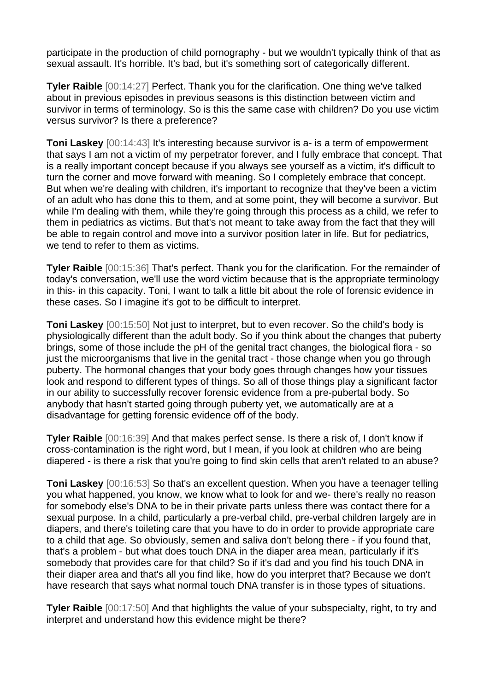participate in the production of child pornography - but we wouldn't typically think of that as sexual assault. It's horrible. It's bad, but it's something sort of categorically different.

**Tyler Raible** [00:14:27] Perfect. Thank you for the clarification. One thing we've talked about in previous episodes in previous seasons is this distinction between victim and survivor in terms of terminology. So is this the same case with children? Do you use victim versus survivor? Is there a preference?

**Toni Laskey** [00:14:43] It's interesting because survivor is a- is a term of empowerment that says I am not a victim of my perpetrator forever, and I fully embrace that concept. That is a really important concept because if you always see yourself as a victim, it's difficult to turn the corner and move forward with meaning. So I completely embrace that concept. But when we're dealing with children, it's important to recognize that they've been a victim of an adult who has done this to them, and at some point, they will become a survivor. But while I'm dealing with them, while they're going through this process as a child, we refer to them in pediatrics as victims. But that's not meant to take away from the fact that they will be able to regain control and move into a survivor position later in life. But for pediatrics, we tend to refer to them as victims.

**Tyler Raible** [00:15:36] That's perfect. Thank you for the clarification. For the remainder of today's conversation, we'll use the word victim because that is the appropriate terminology in this- in this capacity. Toni, I want to talk a little bit about the role of forensic evidence in these cases. So I imagine it's got to be difficult to interpret.

**Toni Laskey** [00:15:50] Not just to interpret, but to even recover. So the child's body is physiologically different than the adult body. So if you think about the changes that puberty brings, some of those include the pH of the genital tract changes, the biological flora - so just the microorganisms that live in the genital tract - those change when you go through puberty. The hormonal changes that your body goes through changes how your tissues look and respond to different types of things. So all of those things play a significant factor in our ability to successfully recover forensic evidence from a pre-pubertal body. So anybody that hasn't started going through puberty yet, we automatically are at a disadvantage for getting forensic evidence off of the body.

**Tyler Raible** [00:16:39] And that makes perfect sense. Is there a risk of, I don't know if cross-contamination is the right word, but I mean, if you look at children who are being diapered - is there a risk that you're going to find skin cells that aren't related to an abuse?

**Toni Laskey** [00:16:53] So that's an excellent question. When you have a teenager telling you what happened, you know, we know what to look for and we- there's really no reason for somebody else's DNA to be in their private parts unless there was contact there for a sexual purpose. In a child, particularly a pre-verbal child, pre-verbal children largely are in diapers, and there's toileting care that you have to do in order to provide appropriate care to a child that age. So obviously, semen and saliva don't belong there - if you found that, that's a problem - but what does touch DNA in the diaper area mean, particularly if it's somebody that provides care for that child? So if it's dad and you find his touch DNA in their diaper area and that's all you find like, how do you interpret that? Because we don't have research that says what normal touch DNA transfer is in those types of situations.

**Tyler Raible** [00:17:50] And that highlights the value of your subspecialty, right, to try and interpret and understand how this evidence might be there?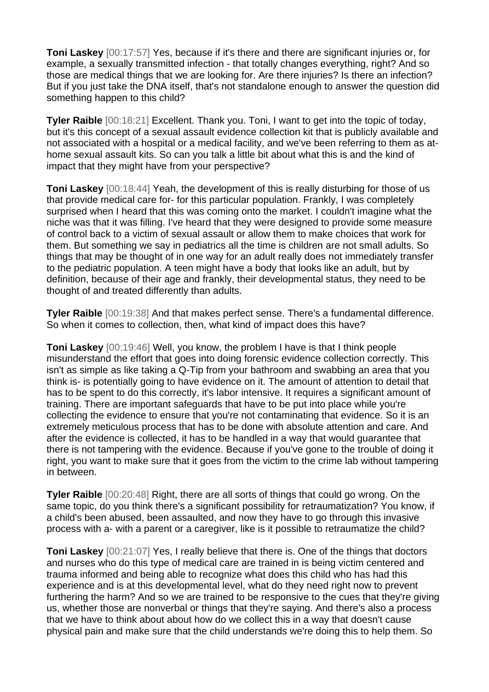**Toni Laskey** [00:17:57] Yes, because if it's there and there are significant injuries or, for example, a sexually transmitted infection - that totally changes everything, right? And so those are medical things that we are looking for. Are there injuries? Is there an infection? But if you just take the DNA itself, that's not standalone enough to answer the question did something happen to this child?

**Tyler Raible** [00:18:21] Excellent. Thank you. Toni, I want to get into the topic of today, but it's this concept of a sexual assault evidence collection kit that is publicly available and not associated with a hospital or a medical facility, and we've been referring to them as athome sexual assault kits. So can you talk a little bit about what this is and the kind of impact that they might have from your perspective?

**Toni Laskey** [00:18:44] Yeah, the development of this is really disturbing for those of us that provide medical care for- for this particular population. Frankly, I was completely surprised when I heard that this was coming onto the market. I couldn't imagine what the niche was that it was filling. I've heard that they were designed to provide some measure of control back to a victim of sexual assault or allow them to make choices that work for them. But something we say in pediatrics all the time is children are not small adults. So things that may be thought of in one way for an adult really does not immediately transfer to the pediatric population. A teen might have a body that looks like an adult, but by definition, because of their age and frankly, their developmental status, they need to be thought of and treated differently than adults.

**Tyler Raible** [00:19:38] And that makes perfect sense. There's a fundamental difference. So when it comes to collection, then, what kind of impact does this have?

**Toni Laskey** [00:19:46] Well, you know, the problem I have is that I think people misunderstand the effort that goes into doing forensic evidence collection correctly. This isn't as simple as like taking a Q-Tip from your bathroom and swabbing an area that you think is- is potentially going to have evidence on it. The amount of attention to detail that has to be spent to do this correctly, it's labor intensive. It requires a significant amount of training. There are important safeguards that have to be put into place while you're collecting the evidence to ensure that you're not contaminating that evidence. So it is an extremely meticulous process that has to be done with absolute attention and care. And after the evidence is collected, it has to be handled in a way that would guarantee that there is not tampering with the evidence. Because if you've gone to the trouble of doing it right, you want to make sure that it goes from the victim to the crime lab without tampering in between.

**Tyler Raible** [00:20:48] Right, there are all sorts of things that could go wrong. On the same topic, do you think there's a significant possibility for retraumatization? You know, if a child's been abused, been assaulted, and now they have to go through this invasive process with a- with a parent or a caregiver, like is it possible to retraumatize the child?

**Toni Laskey** [00:21:07] Yes, I really believe that there is. One of the things that doctors and nurses who do this type of medical care are trained in is being victim centered and trauma informed and being able to recognize what does this child who has had this experience and is at this developmental level, what do they need right now to prevent furthering the harm? And so we are trained to be responsive to the cues that they're giving us, whether those are nonverbal or things that they're saying. And there's also a process that we have to think about about how do we collect this in a way that doesn't cause physical pain and make sure that the child understands we're doing this to help them. So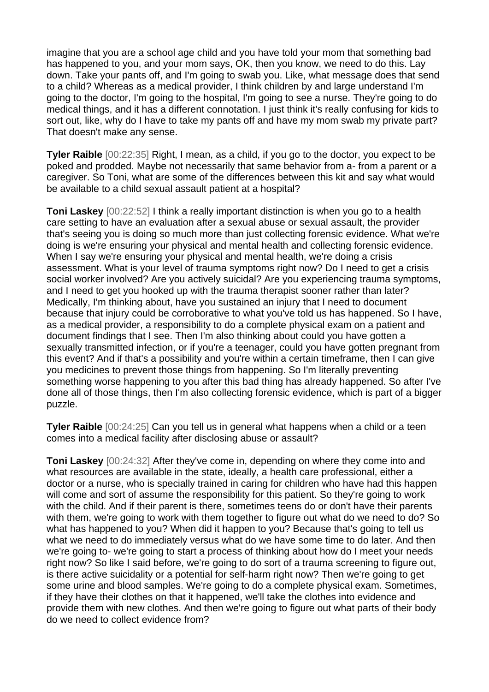imagine that you are a school age child and you have told your mom that something bad has happened to you, and your mom says, OK, then you know, we need to do this. Lay down. Take your pants off, and I'm going to swab you. Like, what message does that send to a child? Whereas as a medical provider, I think children by and large understand I'm going to the doctor, I'm going to the hospital, I'm going to see a nurse. They're going to do medical things, and it has a different connotation. I just think it's really confusing for kids to sort out, like, why do I have to take my pants off and have my mom swab my private part? That doesn't make any sense.

**Tyler Raible** [00:22:35] Right, I mean, as a child, if you go to the doctor, you expect to be poked and prodded. Maybe not necessarily that same behavior from a- from a parent or a caregiver. So Toni, what are some of the differences between this kit and say what would be available to a child sexual assault patient at a hospital?

**Toni Laskey** [00:22:52] I think a really important distinction is when you go to a health care setting to have an evaluation after a sexual abuse or sexual assault, the provider that's seeing you is doing so much more than just collecting forensic evidence. What we're doing is we're ensuring your physical and mental health and collecting forensic evidence. When I say we're ensuring your physical and mental health, we're doing a crisis assessment. What is your level of trauma symptoms right now? Do I need to get a crisis social worker involved? Are you actively suicidal? Are you experiencing trauma symptoms, and I need to get you hooked up with the trauma therapist sooner rather than later? Medically, I'm thinking about, have you sustained an injury that I need to document because that injury could be corroborative to what you've told us has happened. So I have, as a medical provider, a responsibility to do a complete physical exam on a patient and document findings that I see. Then I'm also thinking about could you have gotten a sexually transmitted infection, or if you're a teenager, could you have gotten pregnant from this event? And if that's a possibility and you're within a certain timeframe, then I can give you medicines to prevent those things from happening. So I'm literally preventing something worse happening to you after this bad thing has already happened. So after I've done all of those things, then I'm also collecting forensic evidence, which is part of a bigger puzzle.

**Tyler Raible** [00:24:25] Can you tell us in general what happens when a child or a teen comes into a medical facility after disclosing abuse or assault?

**Toni Laskey** [00:24:32] After they've come in, depending on where they come into and what resources are available in the state, ideally, a health care professional, either a doctor or a nurse, who is specially trained in caring for children who have had this happen will come and sort of assume the responsibility for this patient. So they're going to work with the child. And if their parent is there, sometimes teens do or don't have their parents with them, we're going to work with them together to figure out what do we need to do? So what has happened to you? When did it happen to you? Because that's going to tell us what we need to do immediately versus what do we have some time to do later. And then we're going to- we're going to start a process of thinking about how do I meet your needs right now? So like I said before, we're going to do sort of a trauma screening to figure out, is there active suicidality or a potential for self-harm right now? Then we're going to get some urine and blood samples. We're going to do a complete physical exam. Sometimes, if they have their clothes on that it happened, we'll take the clothes into evidence and provide them with new clothes. And then we're going to figure out what parts of their body do we need to collect evidence from?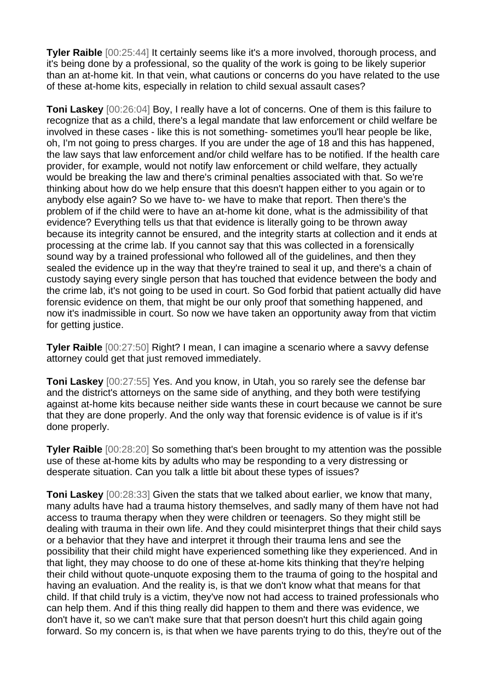**Tyler Raible**  $[00:25:44]$  It certainly seems like it's a more involved, thorough process, and it's being done by a professional, so the quality of the work is going to be likely superior than an at-home kit. In that vein, what cautions or concerns do you have related to the use of these at-home kits, especially in relation to child sexual assault cases?

**Toni Laskey** [00:26:04] Boy, I really have a lot of concerns. One of them is this failure to recognize that as a child, there's a legal mandate that law enforcement or child welfare be involved in these cases - like this is not something- sometimes you'll hear people be like, oh, I'm not going to press charges. If you are under the age of 18 and this has happened, the law says that law enforcement and/or child welfare has to be notified. If the health care provider, for example, would not notify law enforcement or child welfare, they actually would be breaking the law and there's criminal penalties associated with that. So we're thinking about how do we help ensure that this doesn't happen either to you again or to anybody else again? So we have to- we have to make that report. Then there's the problem of if the child were to have an at-home kit done, what is the admissibility of that evidence? Everything tells us that that evidence is literally going to be thrown away because its integrity cannot be ensured, and the integrity starts at collection and it ends at processing at the crime lab. If you cannot say that this was collected in a forensically sound way by a trained professional who followed all of the guidelines, and then they sealed the evidence up in the way that they're trained to seal it up, and there's a chain of custody saying every single person that has touched that evidence between the body and the crime lab, it's not going to be used in court. So God forbid that patient actually did have forensic evidence on them, that might be our only proof that something happened, and now it's inadmissible in court. So now we have taken an opportunity away from that victim for getting justice.

**Tyler Raible** [00:27:50] Right? I mean, I can imagine a scenario where a savvy defense attorney could get that just removed immediately.

**Toni Laskey** [00:27:55] Yes. And you know, in Utah, you so rarely see the defense bar and the district's attorneys on the same side of anything, and they both were testifying against at-home kits because neither side wants these in court because we cannot be sure that they are done properly. And the only way that forensic evidence is of value is if it's done properly.

**Tyler Raible** [00:28:20] So something that's been brought to my attention was the possible use of these at-home kits by adults who may be responding to a very distressing or desperate situation. Can you talk a little bit about these types of issues?

**Toni Laskey** [00:28:33] Given the stats that we talked about earlier, we know that many, many adults have had a trauma history themselves, and sadly many of them have not had access to trauma therapy when they were children or teenagers. So they might still be dealing with trauma in their own life. And they could misinterpret things that their child says or a behavior that they have and interpret it through their trauma lens and see the possibility that their child might have experienced something like they experienced. And in that light, they may choose to do one of these at-home kits thinking that they're helping their child without quote-unquote exposing them to the trauma of going to the hospital and having an evaluation. And the reality is, is that we don't know what that means for that child. If that child truly is a victim, they've now not had access to trained professionals who can help them. And if this thing really did happen to them and there was evidence, we don't have it, so we can't make sure that that person doesn't hurt this child again going forward. So my concern is, is that when we have parents trying to do this, they're out of the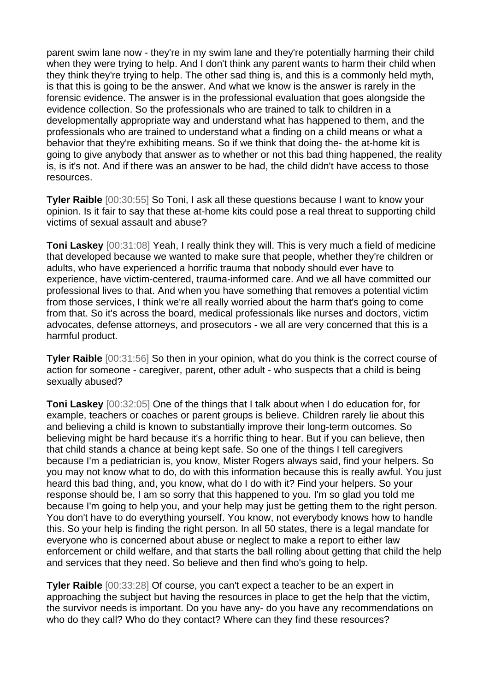parent swim lane now - they're in my swim lane and they're potentially harming their child when they were trying to help. And I don't think any parent wants to harm their child when they think they're trying to help. The other sad thing is, and this is a commonly held myth, is that this is going to be the answer. And what we know is the answer is rarely in the forensic evidence. The answer is in the professional evaluation that goes alongside the evidence collection. So the professionals who are trained to talk to children in a developmentally appropriate way and understand what has happened to them, and the professionals who are trained to understand what a finding on a child means or what a behavior that they're exhibiting means. So if we think that doing the- the at-home kit is going to give anybody that answer as to whether or not this bad thing happened, the reality is, is it's not. And if there was an answer to be had, the child didn't have access to those resources.

**Tyler Raible** [00:30:55] So Toni, I ask all these questions because I want to know your opinion. Is it fair to say that these at-home kits could pose a real threat to supporting child victims of sexual assault and abuse?

**Toni Laskey** [00:31:08] Yeah, I really think they will. This is very much a field of medicine that developed because we wanted to make sure that people, whether they're children or adults, who have experienced a horrific trauma that nobody should ever have to experience, have victim-centered, trauma-informed care. And we all have committed our professional lives to that. And when you have something that removes a potential victim from those services, I think we're all really worried about the harm that's going to come from that. So it's across the board, medical professionals like nurses and doctors, victim advocates, defense attorneys, and prosecutors - we all are very concerned that this is a harmful product.

**Tyler Raible** [00:31:56] So then in your opinion, what do you think is the correct course of action for someone - caregiver, parent, other adult - who suspects that a child is being sexually abused?

**Toni Laskey** [00:32:05] One of the things that I talk about when I do education for, for example, teachers or coaches or parent groups is believe. Children rarely lie about this and believing a child is known to substantially improve their long-term outcomes. So believing might be hard because it's a horrific thing to hear. But if you can believe, then that child stands a chance at being kept safe. So one of the things I tell caregivers because I'm a pediatrician is, you know, Mister Rogers always said, find your helpers. So you may not know what to do, do with this information because this is really awful. You just heard this bad thing, and, you know, what do I do with it? Find your helpers. So your response should be, I am so sorry that this happened to you. I'm so glad you told me because I'm going to help you, and your help may just be getting them to the right person. You don't have to do everything yourself. You know, not everybody knows how to handle this. So your help is finding the right person. In all 50 states, there is a legal mandate for everyone who is concerned about abuse or neglect to make a report to either law enforcement or child welfare, and that starts the ball rolling about getting that child the help and services that they need. So believe and then find who's going to help.

**Tyler Raible** [00:33:28] Of course, you can't expect a teacher to be an expert in approaching the subject but having the resources in place to get the help that the victim, the survivor needs is important. Do you have any- do you have any recommendations on who do they call? Who do they contact? Where can they find these resources?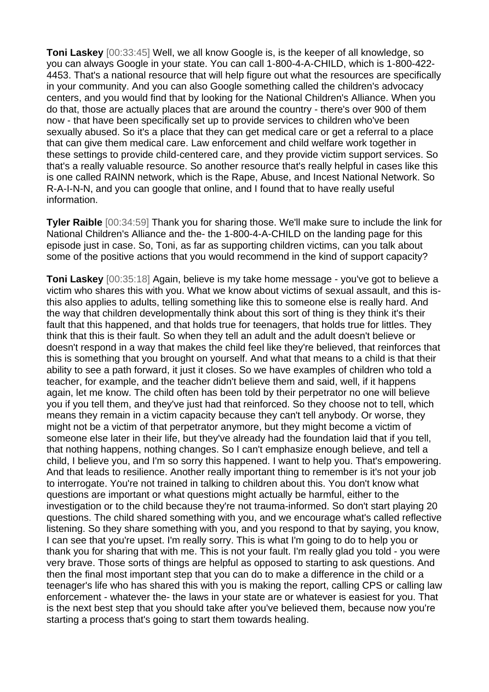**Toni Laskey** [00:33:45] Well, we all know Google is, is the keeper of all knowledge, so you can always Google in your state. You can call 1-800-4-A-CHILD, which is 1-800-422- 4453. That's a national resource that will help figure out what the resources are specifically in your community. And you can also Google something called the children's advocacy centers, and you would find that by looking for the National Children's Alliance. When you do that, those are actually places that are around the country - there's over 900 of them now - that have been specifically set up to provide services to children who've been sexually abused. So it's a place that they can get medical care or get a referral to a place that can give them medical care. Law enforcement and child welfare work together in these settings to provide child-centered care, and they provide victim support services. So that's a really valuable resource. So another resource that's really helpful in cases like this is one called RAINN network, which is the Rape, Abuse, and Incest National Network. So R-A-I-N-N, and you can google that online, and I found that to have really useful information.

**Tyler Raible** [00:34:59] Thank you for sharing those. We'll make sure to include the link for National Children's Alliance and the- the 1-800-4-A-CHILD on the landing page for this episode just in case. So, Toni, as far as supporting children victims, can you talk about some of the positive actions that you would recommend in the kind of support capacity?

**Toni Laskey** [00:35:18] Again, believe is my take home message - you've got to believe a victim who shares this with you. What we know about victims of sexual assault, and this isthis also applies to adults, telling something like this to someone else is really hard. And the way that children developmentally think about this sort of thing is they think it's their fault that this happened, and that holds true for teenagers, that holds true for littles. They think that this is their fault. So when they tell an adult and the adult doesn't believe or doesn't respond in a way that makes the child feel like they're believed, that reinforces that this is something that you brought on yourself. And what that means to a child is that their ability to see a path forward, it just it closes. So we have examples of children who told a teacher, for example, and the teacher didn't believe them and said, well, if it happens again, let me know. The child often has been told by their perpetrator no one will believe you if you tell them, and they've just had that reinforced. So they choose not to tell, which means they remain in a victim capacity because they can't tell anybody. Or worse, they might not be a victim of that perpetrator anymore, but they might become a victim of someone else later in their life, but they've already had the foundation laid that if you tell, that nothing happens, nothing changes. So I can't emphasize enough believe, and tell a child, I believe you, and I'm so sorry this happened. I want to help you. That's empowering. And that leads to resilience. Another really important thing to remember is it's not your job to interrogate. You're not trained in talking to children about this. You don't know what questions are important or what questions might actually be harmful, either to the investigation or to the child because they're not trauma-informed. So don't start playing 20 questions. The child shared something with you, and we encourage what's called reflective listening. So they share something with you, and you respond to that by saying, you know, I can see that you're upset. I'm really sorry. This is what I'm going to do to help you or thank you for sharing that with me. This is not your fault. I'm really glad you told - you were very brave. Those sorts of things are helpful as opposed to starting to ask questions. And then the final most important step that you can do to make a difference in the child or a teenager's life who has shared this with you is making the report, calling CPS or calling law enforcement - whatever the- the laws in your state are or whatever is easiest for you. That is the next best step that you should take after you've believed them, because now you're starting a process that's going to start them towards healing.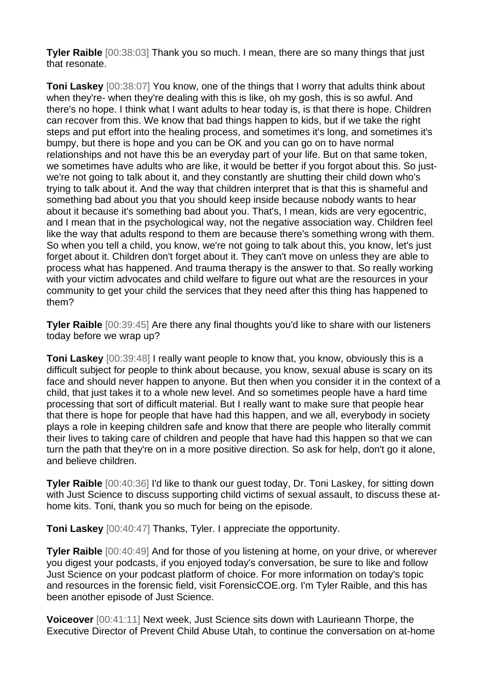**Tyler Raible** [00:38:03] Thank you so much. I mean, there are so many things that just that resonate.

**Toni Laskey** [00:38:07] You know, one of the things that I worry that adults think about when they're- when they're dealing with this is like, oh my gosh, this is so awful. And there's no hope. I think what I want adults to hear today is, is that there is hope. Children can recover from this. We know that bad things happen to kids, but if we take the right steps and put effort into the healing process, and sometimes it's long, and sometimes it's bumpy, but there is hope and you can be OK and you can go on to have normal relationships and not have this be an everyday part of your life. But on that same token, we sometimes have adults who are like, it would be better if you forgot about this. So justwe're not going to talk about it, and they constantly are shutting their child down who's trying to talk about it. And the way that children interpret that is that this is shameful and something bad about you that you should keep inside because nobody wants to hear about it because it's something bad about you. That's, I mean, kids are very egocentric, and I mean that in the psychological way, not the negative association way. Children feel like the way that adults respond to them are because there's something wrong with them. So when you tell a child, you know, we're not going to talk about this, you know, let's just forget about it. Children don't forget about it. They can't move on unless they are able to process what has happened. And trauma therapy is the answer to that. So really working with your victim advocates and child welfare to figure out what are the resources in your community to get your child the services that they need after this thing has happened to them?

**Tyler Raible** [00:39:45] Are there any final thoughts you'd like to share with our listeners today before we wrap up?

**Toni Laskey** [00:39:48] I really want people to know that, you know, obviously this is a difficult subject for people to think about because, you know, sexual abuse is scary on its face and should never happen to anyone. But then when you consider it in the context of a child, that just takes it to a whole new level. And so sometimes people have a hard time processing that sort of difficult material. But I really want to make sure that people hear that there is hope for people that have had this happen, and we all, everybody in society plays a role in keeping children safe and know that there are people who literally commit their lives to taking care of children and people that have had this happen so that we can turn the path that they're on in a more positive direction. So ask for help, don't go it alone, and believe children.

**Tyler Raible** [00:40:36] I'd like to thank our guest today, Dr. Toni Laskey, for sitting down with Just Science to discuss supporting child victims of sexual assault, to discuss these athome kits. Toni, thank you so much for being on the episode.

**Toni Laskey** [00:40:47] Thanks, Tyler. I appreciate the opportunity.

**Tyler Raible** [00:40:49] And for those of you listening at home, on your drive, or wherever you digest your podcasts, if you enjoyed today's conversation, be sure to like and follow Just Science on your podcast platform of choice. For more information on today's topic and resources in the forensic field, visit ForensicCOE.org. I'm Tyler Raible, and this has been another episode of Just Science.

**Voiceover** [00:41:11] Next week, Just Science sits down with Laurieann Thorpe, the Executive Director of Prevent Child Abuse Utah, to continue the conversation on at-home